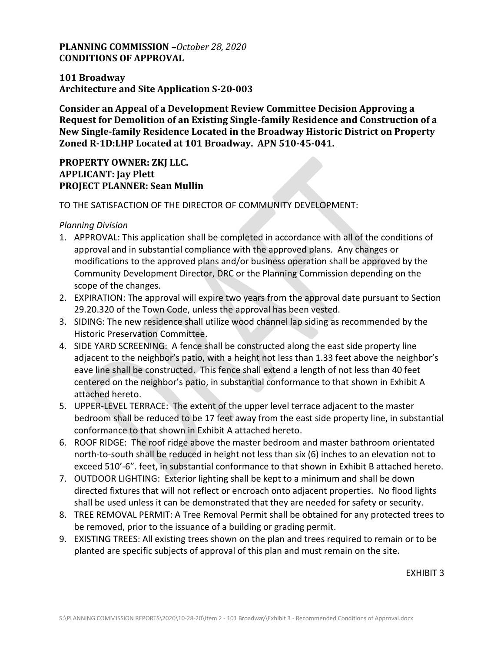## **PLANNING COMMISSION –***October 28, 2020* **CONDITIONS OF APPROVAL**

### **101 Broadway Architecture and Site Application S-20-003**

**Consider an Appeal of a Development Review Committee Decision Approving a Request for Demolition of an Existing Single-family Residence and Construction of a New Single-family Residence Located in the Broadway Historic District on Property Zoned R-1D:LHP Located at 101 Broadway. APN 510-45-041.**

## **PROPERTY OWNER: ZKJ LLC. APPLICANT: Jay Plett PROJECT PLANNER: Sean Mullin**

#### TO THE SATISFACTION OF THE DIRECTOR OF COMMUNITY DEVELOPMENT:

#### *Planning Division*

- 1. APPROVAL: This application shall be completed in accordance with all of the conditions of approval and in substantial compliance with the approved plans. Any changes or modifications to the approved plans and/or business operation shall be approved by the Community Development Director, DRC or the Planning Commission depending on the scope of the changes.
- 2. EXPIRATION: The approval will expire two years from the approval date pursuant to Section 29.20.320 of the Town Code, unless the approval has been vested.
- 3. SIDING: The new residence shall utilize wood channel lap siding as recommended by the Historic Preservation Committee.
- 4. SIDE YARD SCREENING: A fence shall be constructed along the east side property line adjacent to the neighbor's patio, with a height not less than 1.33 feet above the neighbor's eave line shall be constructed. This fence shall extend a length of not less than 40 feet centered on the neighbor's patio, in substantial conformance to that shown in Exhibit A attached hereto.
- 5. UPPER-LEVEL TERRACE: The extent of the upper level terrace adjacent to the master bedroom shall be reduced to be 17 feet away from the east side property line, in substantial conformance to that shown in Exhibit A attached hereto.
- 6. ROOF RIDGE: The roof ridge above the master bedroom and master bathroom orientated north-to-south shall be reduced in height not less than six (6) inches to an elevation not to exceed 510'-6". feet, in substantial conformance to that shown in Exhibit B attached hereto.
- 7. OUTDOOR LIGHTING: Exterior lighting shall be kept to a minimum and shall be down directed fixtures that will not reflect or encroach onto adjacent properties. No flood lights shall be used unless it can be demonstrated that they are needed for safety or security.
- 8. TREE REMOVAL PERMIT: A Tree Removal Permit shall be obtained for any protected trees to be removed, prior to the issuance of a building or grading permit.
- 9. EXISTING TREES: All existing trees shown on the plan and trees required to remain or to be planted are specific subjects of approval of this plan and must remain on the site.

EXHIBIT 3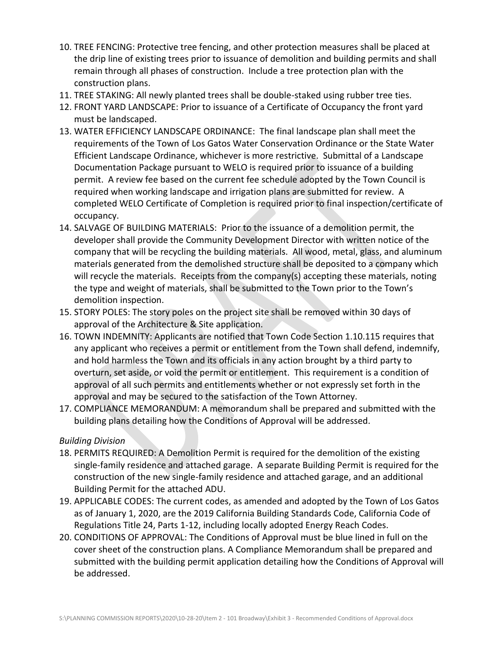- 10. TREE FENCING: Protective tree fencing, and other protection measures shall be placed at the drip line of existing trees prior to issuance of demolition and building permits and shall remain through all phases of construction. Include a tree protection plan with the construction plans.
- 11. TREE STAKING: All newly planted trees shall be double-staked using rubber tree ties.
- 12. FRONT YARD LANDSCAPE: Prior to issuance of a Certificate of Occupancy the front yard must be landscaped.
- 13. WATER EFFICIENCY LANDSCAPE ORDINANCE: The final landscape plan shall meet the requirements of the Town of Los Gatos Water Conservation Ordinance or the State Water Efficient Landscape Ordinance, whichever is more restrictive. Submittal of a Landscape Documentation Package pursuant to WELO is required prior to issuance of a building permit. A review fee based on the current fee schedule adopted by the Town Council is required when working landscape and irrigation plans are submitted for review. A completed WELO Certificate of Completion is required prior to final inspection/certificate of occupancy.
- 14. SALVAGE OF BUILDING MATERIALS: Prior to the issuance of a demolition permit, the developer shall provide the Community Development Director with written notice of the company that will be recycling the building materials. All wood, metal, glass, and aluminum materials generated from the demolished structure shall be deposited to a company which will recycle the materials. Receipts from the company(s) accepting these materials, noting the type and weight of materials, shall be submitted to the Town prior to the Town's demolition inspection.
- 15. STORY POLES: The story poles on the project site shall be removed within 30 days of approval of the Architecture & Site application.
- 16. TOWN INDEMNITY: Applicants are notified that Town Code Section 1.10.115 requires that any applicant who receives a permit or entitlement from the Town shall defend, indemnify, and hold harmless the Town and its officials in any action brought by a third party to overturn, set aside, or void the permit or entitlement. This requirement is a condition of approval of all such permits and entitlements whether or not expressly set forth in the approval and may be secured to the satisfaction of the Town Attorney.
- 17. COMPLIANCE MEMORANDUM: A memorandum shall be prepared and submitted with the building plans detailing how the Conditions of Approval will be addressed.

#### *Building Division*

- 18. PERMITS REQUIRED: A Demolition Permit is required for the demolition of the existing single-family residence and attached garage. A separate Building Permit is required for the construction of the new single-family residence and attached garage, and an additional Building Permit for the attached ADU.
- 19. APPLICABLE CODES: The current codes, as amended and adopted by the Town of Los Gatos as of January 1, 2020, are the 2019 California Building Standards Code, California Code of Regulations Title 24, Parts 1-12, including locally adopted Energy Reach Codes.
- 20. CONDITIONS OF APPROVAL: The Conditions of Approval must be blue lined in full on the cover sheet of the construction plans. A Compliance Memorandum shall be prepared and submitted with the building permit application detailing how the Conditions of Approval will be addressed.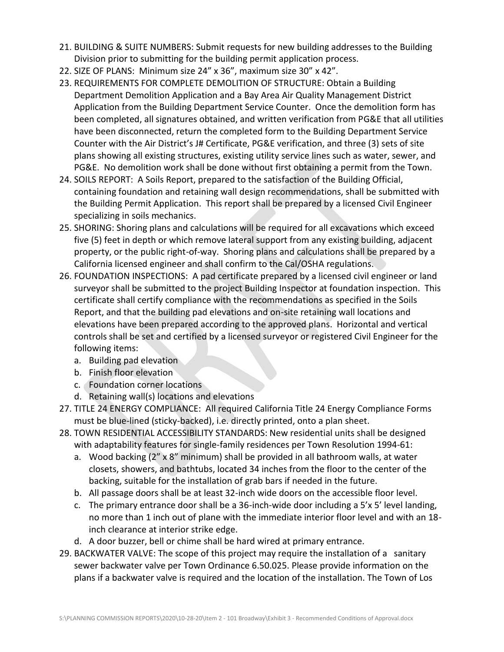- 21. BUILDING & SUITE NUMBERS: Submit requests for new building addresses to the Building Division prior to submitting for the building permit application process.
- 22. SIZE OF PLANS: Minimum size 24" x 36", maximum size 30" x 42".
- 23. REQUIREMENTS FOR COMPLETE DEMOLITION OF STRUCTURE: Obtain a Building Department Demolition Application and a Bay Area Air Quality Management District Application from the Building Department Service Counter. Once the demolition form has been completed, all signatures obtained, and written verification from PG&E that all utilities have been disconnected, return the completed form to the Building Department Service Counter with the Air District's J# Certificate, PG&E verification, and three (3) sets of site plans showing all existing structures, existing utility service lines such as water, sewer, and PG&E. No demolition work shall be done without first obtaining a permit from the Town.
- 24. SOILS REPORT: A Soils Report, prepared to the satisfaction of the Building Official, containing foundation and retaining wall design recommendations, shall be submitted with the Building Permit Application. This report shall be prepared by a licensed Civil Engineer specializing in soils mechanics.
- 25. SHORING: Shoring plans and calculations will be required for all excavations which exceed five (5) feet in depth or which remove lateral support from any existing building, adjacent property, or the public right-of-way. Shoring plans and calculations shall be prepared by a California licensed engineer and shall confirm to the Cal/OSHA regulations.
- 26. FOUNDATION INSPECTIONS: A pad certificate prepared by a licensed civil engineer or land surveyor shall be submitted to the project Building Inspector at foundation inspection. This certificate shall certify compliance with the recommendations as specified in the Soils Report, and that the building pad elevations and on-site retaining wall locations and elevations have been prepared according to the approved plans. Horizontal and vertical controls shall be set and certified by a licensed surveyor or registered Civil Engineer for the following items:
	- a. Building pad elevation
	- b. Finish floor elevation
	- c. Foundation corner locations
	- d. Retaining wall(s) locations and elevations
- 27. TITLE 24 ENERGY COMPLIANCE: All required California Title 24 Energy Compliance Forms must be blue-lined (sticky-backed), i.e. directly printed, onto a plan sheet.
- 28. TOWN RESIDENTIAL ACCESSIBILITY STANDARDS: New residential units shall be designed with adaptability features for single-family residences per Town Resolution 1994-61:
	- a. Wood backing (2" x 8" minimum) shall be provided in all bathroom walls, at water closets, showers, and bathtubs, located 34 inches from the floor to the center of the backing, suitable for the installation of grab bars if needed in the future.
	- b. All passage doors shall be at least 32-inch wide doors on the accessible floor level.
	- c. The primary entrance door shall be a 36-inch-wide door including a 5'x 5' level landing, no more than 1 inch out of plane with the immediate interior floor level and with an 18 inch clearance at interior strike edge.
	- d. A door buzzer, bell or chime shall be hard wired at primary entrance.
- 29. BACKWATER VALVE: The scope of this project may require the installation of a sanitary sewer backwater valve per Town Ordinance 6.50.025. Please provide information on the plans if a backwater valve is required and the location of the installation. The Town of Los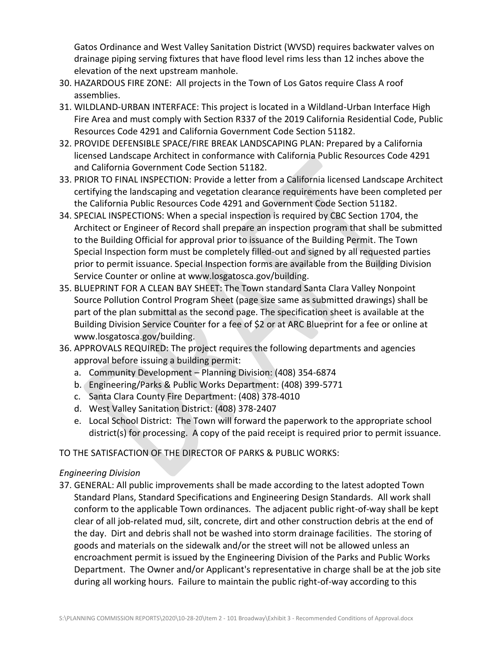Gatos Ordinance and West Valley Sanitation District (WVSD) requires backwater valves on drainage piping serving fixtures that have flood level rims less than 12 inches above the elevation of the next upstream manhole.

- 30. HAZARDOUS FIRE ZONE: All projects in the Town of Los Gatos require Class A roof assemblies.
- 31. WILDLAND-URBAN INTERFACE: This project is located in a Wildland-Urban Interface High Fire Area and must comply with Section R337 of the 2019 California Residential Code, Public Resources Code 4291 and California Government Code Section 51182.
- 32. PROVIDE DEFENSIBLE SPACE/FIRE BREAK LANDSCAPING PLAN: Prepared by a California licensed Landscape Architect in conformance with California Public Resources Code 4291 and California Government Code Section 51182.
- 33. PRIOR TO FINAL INSPECTION: Provide a letter from a California licensed Landscape Architect certifying the landscaping and vegetation clearance requirements have been completed per the California Public Resources Code 4291 and Government Code Section 51182.
- 34. SPECIAL INSPECTIONS: When a special inspection is required by CBC Section 1704, the Architect or Engineer of Record shall prepare an inspection program that shall be submitted to the Building Official for approval prior to issuance of the Building Permit. The Town Special Inspection form must be completely filled-out and signed by all requested parties prior to permit issuance. Special Inspection forms are available from the Building Division Service Counter or online at www.losgatosca.gov/building.
- 35. BLUEPRINT FOR A CLEAN BAY SHEET: The Town standard Santa Clara Valley Nonpoint Source Pollution Control Program Sheet (page size same as submitted drawings) shall be part of the plan submittal as the second page. The specification sheet is available at the Building Division Service Counter for a fee of \$2 or at ARC Blueprint for a fee or online at www.losgatosca.gov/building.
- 36. APPROVALS REQUIRED: The project requires the following departments and agencies approval before issuing a building permit:
	- a. Community Development Planning Division: (408) 354-6874
	- b. Engineering/Parks & Public Works Department: (408) 399-5771
	- c. Santa Clara County Fire Department: (408) 378-4010
	- d. West Valley Sanitation District: (408) 378-2407
	- e. Local School District: The Town will forward the paperwork to the appropriate school district(s) for processing. A copy of the paid receipt is required prior to permit issuance.

# TO THE SATISFACTION OF THE DIRECTOR OF PARKS & PUBLIC WORKS:

## *Engineering Division*

37. GENERAL: All public improvements shall be made according to the latest adopted Town Standard Plans, Standard Specifications and Engineering Design Standards. All work shall conform to the applicable Town ordinances. The adjacent public right-of-way shall be kept clear of all job-related mud, silt, concrete, dirt and other construction debris at the end of the day. Dirt and debris shall not be washed into storm drainage facilities. The storing of goods and materials on the sidewalk and/or the street will not be allowed unless an encroachment permit is issued by the Engineering Division of the Parks and Public Works Department. The Owner and/or Applicant's representative in charge shall be at the job site during all working hours. Failure to maintain the public right-of-way according to this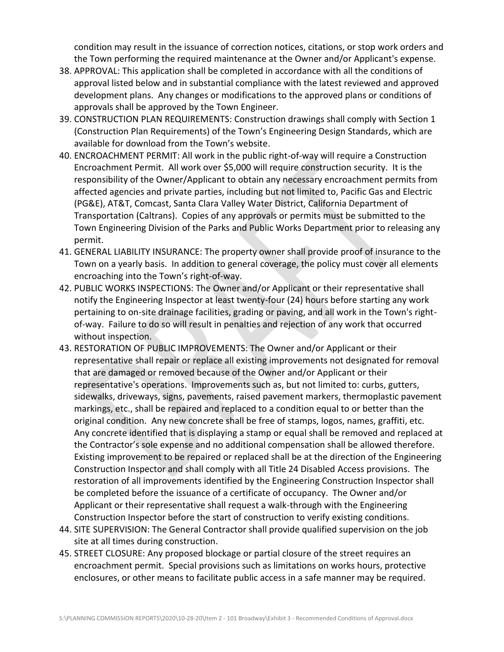condition may result in the issuance of correction notices, citations, or stop work orders and the Town performing the required maintenance at the Owner and/or Applicant's expense.

- 38. APPROVAL: This application shall be completed in accordance with all the conditions of approval listed below and in substantial compliance with the latest reviewed and approved development plans. Any changes or modifications to the approved plans or conditions of approvals shall be approved by the Town Engineer.
- 39. CONSTRUCTION PLAN REQUIREMENTS: Construction drawings shall comply with Section 1 (Construction Plan Requirements) of the Town's Engineering Design Standards, which are [available for download from the Town's website](https://www.losgatosca.gov/1088/Town-Engineering-Standards).
- 40. ENCROACHMENT PERMIT: All work in the public right-of-way will require a Construction Encroachment Permit. All work over \$5,000 will require construction security. It is the responsibility of the Owner/Applicant to obtain any necessary encroachment permits from affected agencies and private parties, including but not limited to, Pacific Gas and Electric (PG&E), AT&T, Comcast, Santa Clara Valley Water District, California Department of Transportation (Caltrans). Copies of any approvals or permits must be submitted to the Town Engineering Division of the Parks and Public Works Department prior to releasing any permit.
- 41. GENERAL LIABILITY INSURANCE: The property owner shall provide proof of insurance to the Town on a yearly basis. In addition to general coverage, the policy must cover all elements encroaching into the Town's right-of-way.
- 42. PUBLIC WORKS INSPECTIONS: The Owner and/or Applicant or their representative shall notify the Engineering Inspector at least twenty-four (24) hours before starting any work pertaining to on-site drainage facilities, grading or paving, and all work in the Town's rightof-way. Failure to do so will result in penalties and rejection of any work that occurred without inspection.
- 43. RESTORATION OF PUBLIC IMPROVEMENTS: The Owner and/or Applicant or their representative shall repair or replace all existing improvements not designated for removal that are damaged or removed because of the Owner and/or Applicant or their representative's operations. Improvements such as, but not limited to: curbs, gutters, sidewalks, driveways, signs, pavements, raised pavement markers, thermoplastic pavement markings, etc., shall be repaired and replaced to a condition equal to or better than the original condition. Any new concrete shall be free of stamps, logos, names, graffiti, etc. Any concrete identified that is displaying a stamp or equal shall be removed and replaced at the Contractor's sole expense and no additional compensation shall be allowed therefore. Existing improvement to be repaired or replaced shall be at the direction of the Engineering Construction Inspector and shall comply with all Title 24 Disabled Access provisions. The restoration of all improvements identified by the Engineering Construction Inspector shall be completed before the issuance of a certificate of occupancy. The Owner and/or Applicant or their representative shall request a walk-through with the Engineering Construction Inspector before the start of construction to verify existing conditions.
- 44. SITE SUPERVISION: The General Contractor shall provide qualified supervision on the job site at all times during construction.
- 45. STREET CLOSURE: Any proposed blockage or partial closure of the street requires an encroachment permit. Special provisions such as limitations on works hours, protective enclosures, or other means to facilitate public access in a safe manner may be required.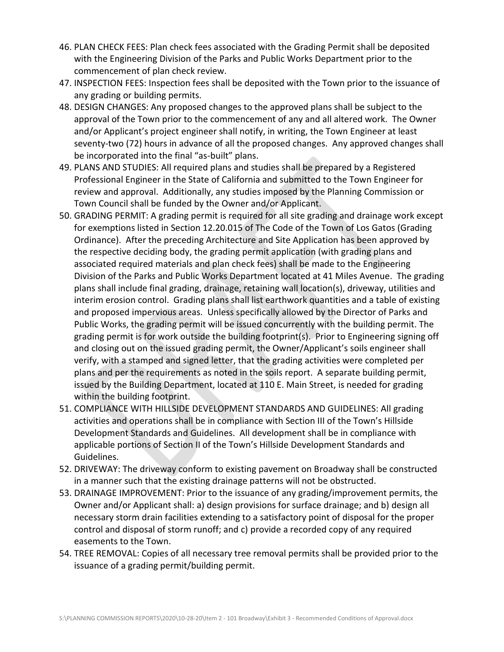- 46. PLAN CHECK FEES: Plan check fees associated with the Grading Permit shall be deposited with the Engineering Division of the Parks and Public Works Department prior to the commencement of plan check review.
- 47. INSPECTION FEES: Inspection fees shall be deposited with the Town prior to the issuance of any grading or building permits.
- 48. DESIGN CHANGES: Any proposed changes to the approved plans shall be subject to the approval of the Town prior to the commencement of any and all altered work. The Owner and/or Applicant's project engineer shall notify, in writing, the Town Engineer at least seventy-two (72) hours in advance of all the proposed changes. Any approved changes shall be incorporated into the final "as-built" plans.
- 49. PLANS AND STUDIES: All required plans and studies shall be prepared by a Registered Professional Engineer in the State of California and submitted to the Town Engineer for review and approval. Additionally, any studies imposed by the Planning Commission or Town Council shall be funded by the Owner and/or Applicant.
- 50. GRADING PERMIT: A grading permit is required for all site grading and drainage work except for exemptions listed in Section 12.20.015 of The Code of the Town of Los Gatos (Grading Ordinance). After the preceding Architecture and Site Application has been approved by the respective deciding body, the grading permit application (with grading plans and associated required materials and plan check fees) shall be made to the Engineering Division of the Parks and Public Works Department located at 41 Miles Avenue. The grading plans shall include final grading, drainage, retaining wall location(s), driveway, utilities and interim erosion control. Grading plans shall list earthwork quantities and a table of existing and proposed impervious areas. Unless specifically allowed by the Director of Parks and Public Works, the grading permit will be issued concurrently with the building permit. The grading permit is for work outside the building footprint(s). Prior to Engineering signing off and closing out on the issued grading permit, the Owner/Applicant's soils engineer shall verify, with a stamped and signed letter, that the grading activities were completed per plans and per the requirements as noted in the soils report. A separate building permit, issued by the Building Department, located at 110 E. Main Street, is needed for grading within the building footprint.
- 51. COMPLIANCE WITH HILLSIDE DEVELOPMENT STANDARDS AND GUIDELINES: All grading activities and operations shall be in compliance with Section III of the Town's Hillside Development Standards and Guidelines. All development shall be in compliance with applicable portions of Section II of the Town's Hillside Development Standards and Guidelines.
- 52. DRIVEWAY: The driveway conform to existing pavement on Broadway shall be constructed in a manner such that the existing drainage patterns will not be obstructed.
- 53. DRAINAGE IMPROVEMENT: Prior to the issuance of any grading/improvement permits, the Owner and/or Applicant shall: a) design provisions for surface drainage; and b) design all necessary storm drain facilities extending to a satisfactory point of disposal for the proper control and disposal of storm runoff; and c) provide a recorded copy of any required easements to the Town.
- 54. TREE REMOVAL: Copies of all necessary tree removal permits shall be provided prior to the issuance of a grading permit/building permit.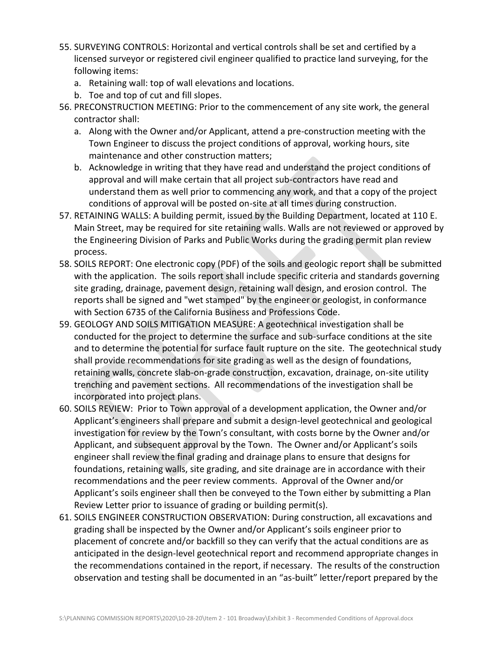- 55. SURVEYING CONTROLS: Horizontal and vertical controls shall be set and certified by a licensed surveyor or registered civil engineer qualified to practice land surveying, for the following items:
	- a. Retaining wall: top of wall elevations and locations.
	- b. Toe and top of cut and fill slopes.
- 56. PRECONSTRUCTION MEETING: Prior to the commencement of any site work, the general contractor shall:
	- a. Along with the Owner and/or Applicant, attend a pre-construction meeting with the Town Engineer to discuss the project conditions of approval, working hours, site maintenance and other construction matters;
	- b. Acknowledge in writing that they have read and understand the project conditions of approval and will make certain that all project sub-contractors have read and understand them as well prior to commencing any work, and that a copy of the project conditions of approval will be posted on-site at all times during construction.
- 57. RETAINING WALLS: A building permit, issued by the Building Department, located at 110 E. Main Street, may be required for site retaining walls. Walls are not reviewed or approved by the Engineering Division of Parks and Public Works during the grading permit plan review process.
- 58. SOILS REPORT: One electronic copy (PDF) of the soils and geologic report shall be submitted with the application. The soils report shall include specific criteria and standards governing site grading, drainage, pavement design, retaining wall design, and erosion control. The reports shall be signed and "wet stamped" by the engineer or geologist, in conformance with Section 6735 of the California Business and Professions Code.
- 59. GEOLOGY AND SOILS MITIGATION MEASURE: A geotechnical investigation shall be conducted for the project to determine the surface and sub-surface conditions at the site and to determine the potential for surface fault rupture on the site. The geotechnical study shall provide recommendations for site grading as well as the design of foundations, retaining walls, concrete slab-on-grade construction, excavation, drainage, on-site utility trenching and pavement sections. All recommendations of the investigation shall be incorporated into project plans.
- 60. SOILS REVIEW: Prior to Town approval of a development application, the Owner and/or Applicant's engineers shall prepare and submit a design-level geotechnical and geological investigation for review by the Town's consultant, with costs borne by the Owner and/or Applicant, and subsequent approval by the Town. The Owner and/or Applicant's soils engineer shall review the final grading and drainage plans to ensure that designs for foundations, retaining walls, site grading, and site drainage are in accordance with their recommendations and the peer review comments. Approval of the Owner and/or Applicant's soils engineer shall then be conveyed to the Town either by submitting a Plan Review Letter prior to issuance of grading or building permit(s).
- 61. SOILS ENGINEER CONSTRUCTION OBSERVATION: During construction, all excavations and grading shall be inspected by the Owner and/or Applicant's soils engineer prior to placement of concrete and/or backfill so they can verify that the actual conditions are as anticipated in the design-level geotechnical report and recommend appropriate changes in the recommendations contained in the report, if necessary. The results of the construction observation and testing shall be documented in an "as-built" letter/report prepared by the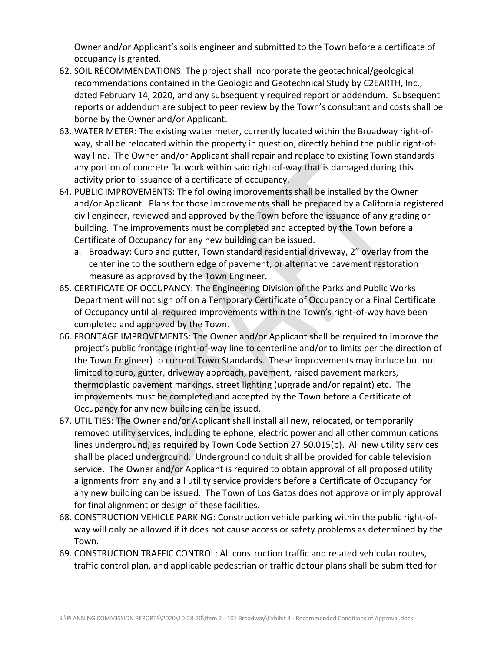Owner and/or Applicant's soils engineer and submitted to the Town before a certificate of occupancy is granted.

- 62. SOIL RECOMMENDATIONS: The project shall incorporate the geotechnical/geological recommendations contained in the Geologic and Geotechnical Study by C2EARTH, Inc., dated February 14, 2020, and any subsequently required report or addendum. Subsequent reports or addendum are subject to peer review by the Town's consultant and costs shall be borne by the Owner and/or Applicant.
- 63. WATER METER: The existing water meter, currently located within the Broadway right-ofway, shall be relocated within the property in question, directly behind the public right-ofway line. The Owner and/or Applicant shall repair and replace to existing Town standards any portion of concrete flatwork within said right-of-way that is damaged during this activity prior to issuance of a certificate of occupancy.
- 64. PUBLIC IMPROVEMENTS: The following improvements shall be installed by the Owner and/or Applicant. Plans for those improvements shall be prepared by a California registered civil engineer, reviewed and approved by the Town before the issuance of any grading or building. The improvements must be completed and accepted by the Town before a Certificate of Occupancy for any new building can be issued.
	- a. Broadway: Curb and gutter, Town standard residential driveway, 2" overlay from the centerline to the southern edge of pavement, or alternative pavement restoration measure as approved by the Town Engineer.
- 65. CERTIFICATE OF OCCUPANCY: The Engineering Division of the Parks and Public Works Department will not sign off on a Temporary Certificate of Occupancy or a Final Certificate of Occupancy until all required improvements within the Town's right-of-way have been completed and approved by the Town.
- 66. FRONTAGE IMPROVEMENTS: The Owner and/or Applicant shall be required to improve the project's public frontage (right-of-way line to centerline and/or to limits per the direction of the Town Engineer) to current Town Standards. These improvements may include but not limited to curb, gutter, driveway approach, pavement, raised pavement markers, thermoplastic pavement markings, street lighting (upgrade and/or repaint) etc. The improvements must be completed and accepted by the Town before a Certificate of Occupancy for any new building can be issued.
- 67. UTILITIES: The Owner and/or Applicant shall install all new, relocated, or temporarily removed utility services, including telephone, electric power and all other communications lines underground, as required by Town Code Section 27.50.015(b). All new utility services shall be placed underground. Underground conduit shall be provided for cable television service. The Owner and/or Applicant is required to obtain approval of all proposed utility alignments from any and all utility service providers before a Certificate of Occupancy for any new building can be issued. The Town of Los Gatos does not approve or imply approval for final alignment or design of these facilities.
- 68. CONSTRUCTION VEHICLE PARKING: Construction vehicle parking within the public right-ofway will only be allowed if it does not cause access or safety problems as determined by the Town.
- 69. CONSTRUCTION TRAFFIC CONTROL: All construction traffic and related vehicular routes, traffic control plan, and applicable pedestrian or traffic detour plans shall be submitted for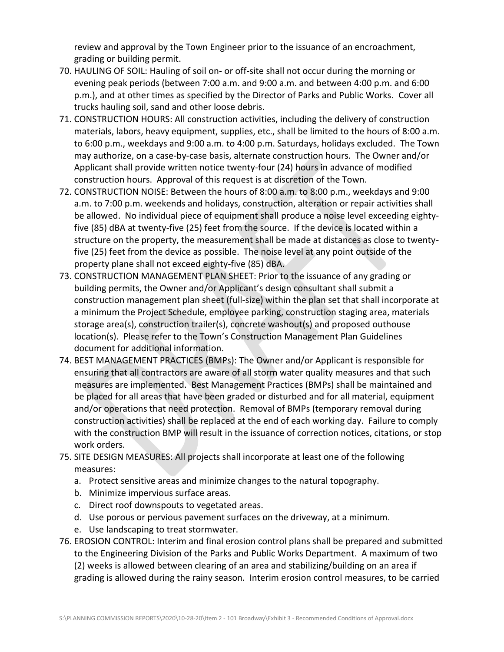review and approval by the Town Engineer prior to the issuance of an encroachment, grading or building permit.

- 70. HAULING OF SOIL: Hauling of soil on- or off-site shall not occur during the morning or evening peak periods (between 7:00 a.m. and 9:00 a.m. and between 4:00 p.m. and 6:00 p.m.), and at other times as specified by the Director of Parks and Public Works. Cover all trucks hauling soil, sand and other loose debris.
- 71. CONSTRUCTION HOURS: All construction activities, including the delivery of construction materials, labors, heavy equipment, supplies, etc., shall be limited to the hours of 8:00 a.m. to 6:00 p.m., weekdays and 9:00 a.m. to 4:00 p.m. Saturdays, holidays excluded. The Town may authorize, on a case-by-case basis, alternate construction hours. The Owner and/or Applicant shall provide written notice twenty-four (24) hours in advance of modified construction hours. Approval of this request is at discretion of the Town.
- 72. CONSTRUCTION NOISE: Between the hours of 8:00 a.m. to 8:00 p.m., weekdays and 9:00 a.m. to 7:00 p.m. weekends and holidays, construction, alteration or repair activities shall be allowed. No individual piece of equipment shall produce a noise level exceeding eightyfive (85) dBA at twenty-five (25) feet from the source. If the device is located within a structure on the property, the measurement shall be made at distances as close to twentyfive (25) feet from the device as possible. The noise level at any point outside of the property plane shall not exceed eighty-five (85) dBA.
- 73. CONSTRUCTION MANAGEMENT PLAN SHEET: Prior to the issuance of any grading or building permits, the Owner and/or Applicant's design consultant shall submit a construction management plan sheet (full-size) within the plan set that shall incorporate at a minimum the Project Schedule, employee parking, construction staging area, materials storage area(s), construction trailer(s), concrete washout(s) and proposed outhouse location(s). Please refer to the Town's [Construction Management Plan Guidelines](http://www.losgatosca.gov/DocumentCenter/View/17600) document for additional information.
- 74. BEST MANAGEMENT PRACTICES (BMPs): The Owner and/or Applicant is responsible for ensuring that all contractors are aware of all storm water quality measures and that such measures are implemented. Best Management Practices (BMPs) shall be maintained and be placed for all areas that have been graded or disturbed and for all material, equipment and/or operations that need protection. Removal of BMPs (temporary removal during construction activities) shall be replaced at the end of each working day. Failure to comply with the construction BMP will result in the issuance of correction notices, citations, or stop work orders.
- 75. SITE DESIGN MEASURES: All projects shall incorporate at least one of the following measures:
	- a. Protect sensitive areas and minimize changes to the natural topography.
	- b. Minimize impervious surface areas.
	- c. Direct roof downspouts to vegetated areas.
	- d. Use porous or pervious pavement surfaces on the driveway, at a minimum.
	- e. Use landscaping to treat stormwater.
- 76. EROSION CONTROL: Interim and final erosion control plans shall be prepared and submitted to the Engineering Division of the Parks and Public Works Department. A maximum of two (2) weeks is allowed between clearing of an area and stabilizing/building on an area if grading is allowed during the rainy season. Interim erosion control measures, to be carried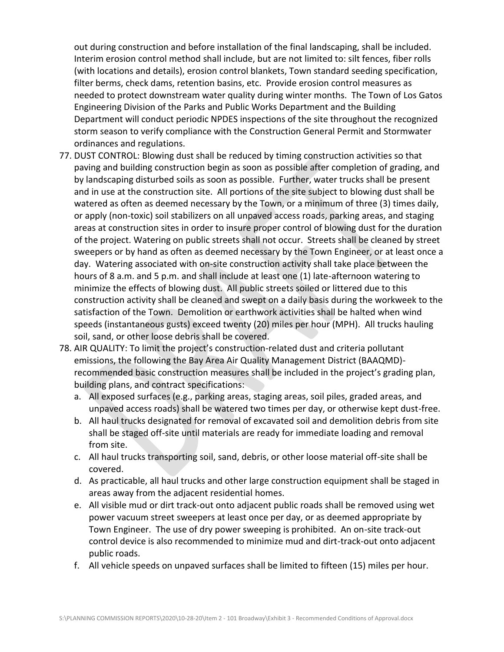out during construction and before installation of the final landscaping, shall be included. Interim erosion control method shall include, but are not limited to: silt fences, fiber rolls (with locations and details), erosion control blankets, Town standard seeding specification, filter berms, check dams, retention basins, etc. Provide erosion control measures as needed to protect downstream water quality during winter months. The Town of Los Gatos Engineering Division of the Parks and Public Works Department and the Building Department will conduct periodic NPDES inspections of the site throughout the recognized storm season to verify compliance with the Construction General Permit and Stormwater ordinances and regulations.

- 77. DUST CONTROL: Blowing dust shall be reduced by timing construction activities so that paving and building construction begin as soon as possible after completion of grading, and by landscaping disturbed soils as soon as possible. Further, water trucks shall be present and in use at the construction site. All portions of the site subject to blowing dust shall be watered as often as deemed necessary by the Town, or a minimum of three (3) times daily, or apply (non-toxic) soil stabilizers on all unpaved access roads, parking areas, and staging areas at construction sites in order to insure proper control of blowing dust for the duration of the project. Watering on public streets shall not occur. Streets shall be cleaned by street sweepers or by hand as often as deemed necessary by the Town Engineer, or at least once a day. Watering associated with on-site construction activity shall take place between the hours of 8 a.m. and 5 p.m. and shall include at least one (1) late-afternoon watering to minimize the effects of blowing dust. All public streets soiled or littered due to this construction activity shall be cleaned and swept on a daily basis during the workweek to the satisfaction of the Town. Demolition or earthwork activities shall be halted when wind speeds (instantaneous gusts) exceed twenty (20) miles per hour (MPH). All trucks hauling soil, sand, or other loose debris shall be covered.
- 78. AIR QUALITY: To limit the project's construction-related dust and criteria pollutant emissions, the following the Bay Area Air Quality Management District (BAAQMD) recommended basic construction measures shall be included in the project's grading plan, building plans, and contract specifications:
	- a. All exposed surfaces (e.g., parking areas, staging areas, soil piles, graded areas, and unpaved access roads) shall be watered two times per day, or otherwise kept dust-free.
	- b. All haul trucks designated for removal of excavated soil and demolition debris from site shall be staged off-site until materials are ready for immediate loading and removal from site.
	- c. All haul trucks transporting soil, sand, debris, or other loose material off-site shall be covered.
	- d. As practicable, all haul trucks and other large construction equipment shall be staged in areas away from the adjacent residential homes.
	- e. All visible mud or dirt track-out onto adjacent public roads shall be removed using wet power vacuum street sweepers at least once per day, or as deemed appropriate by Town Engineer. The use of dry power sweeping is prohibited. An on-site track-out control device is also recommended to minimize mud and dirt-track-out onto adjacent public roads.
	- f. All vehicle speeds on unpaved surfaces shall be limited to fifteen (15) miles per hour.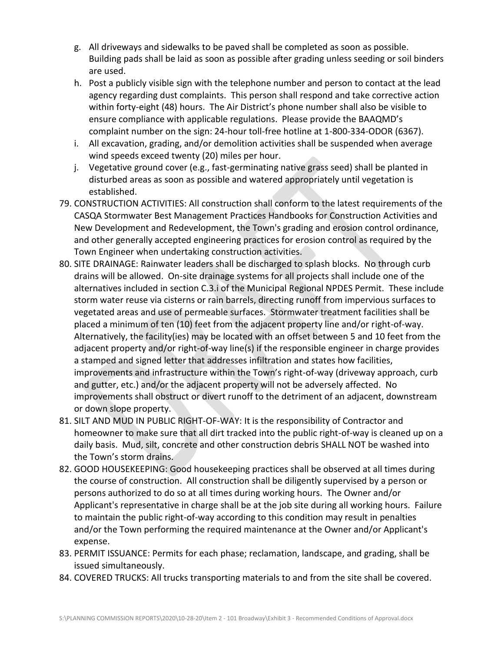- g. All driveways and sidewalks to be paved shall be completed as soon as possible. Building pads shall be laid as soon as possible after grading unless seeding or soil binders are used.
- h. Post a publicly visible sign with the telephone number and person to contact at the lead agency regarding dust complaints. This person shall respond and take corrective action within forty-eight (48) hours. The Air District's phone number shall also be visible to ensure compliance with applicable regulations. Please provide the BAAQMD's complaint number on the sign: 24-hour toll-free hotline at 1-800-334-ODOR (6367).
- i. All excavation, grading, and/or demolition activities shall be suspended when average wind speeds exceed twenty (20) miles per hour.
- j. Vegetative ground cover (e.g., fast-germinating native grass seed) shall be planted in disturbed areas as soon as possible and watered appropriately until vegetation is established.
- 79. CONSTRUCTION ACTIVITIES: All construction shall conform to the latest requirements of the CASQA Stormwater Best Management Practices Handbooks for Construction Activities and New Development and Redevelopment, the Town's grading and erosion control ordinance, and other generally accepted engineering practices for erosion control as required by the Town Engineer when undertaking construction activities.
- 80. SITE DRAINAGE: Rainwater leaders shall be discharged to splash blocks. No through curb drains will be allowed. On-site drainage systems for all projects shall include one of the alternatives included in section C.3.i of the Municipal Regional NPDES Permit. These include storm water reuse via cisterns or rain barrels, directing runoff from impervious surfaces to vegetated areas and use of permeable surfaces. Stormwater treatment facilities shall be placed a minimum of ten (10) feet from the adjacent property line and/or right-of-way. Alternatively, the facility(ies) may be located with an offset between 5 and 10 feet from the adjacent property and/or right-of-way line(s) if the responsible engineer in charge provides a stamped and signed letter that addresses infiltration and states how facilities, improvements and infrastructure within the Town's right-of-way (driveway approach, curb and gutter, etc.) and/or the adjacent property will not be adversely affected. No improvements shall obstruct or divert runoff to the detriment of an adjacent, downstream or down slope property.
- 81. SILT AND MUD IN PUBLIC RIGHT-OF-WAY: It is the responsibility of Contractor and homeowner to make sure that all dirt tracked into the public right-of-way is cleaned up on a daily basis. Mud, silt, concrete and other construction debris SHALL NOT be washed into the Town's storm drains.
- 82. GOOD HOUSEKEEPING: Good housekeeping practices shall be observed at all times during the course of construction. All construction shall be diligently supervised by a person or persons authorized to do so at all times during working hours. The Owner and/or Applicant's representative in charge shall be at the job site during all working hours. Failure to maintain the public right-of-way according to this condition may result in penalties and/or the Town performing the required maintenance at the Owner and/or Applicant's expense.
- 83. PERMIT ISSUANCE: Permits for each phase; reclamation, landscape, and grading, shall be issued simultaneously.
- 84. COVERED TRUCKS: All trucks transporting materials to and from the site shall be covered.